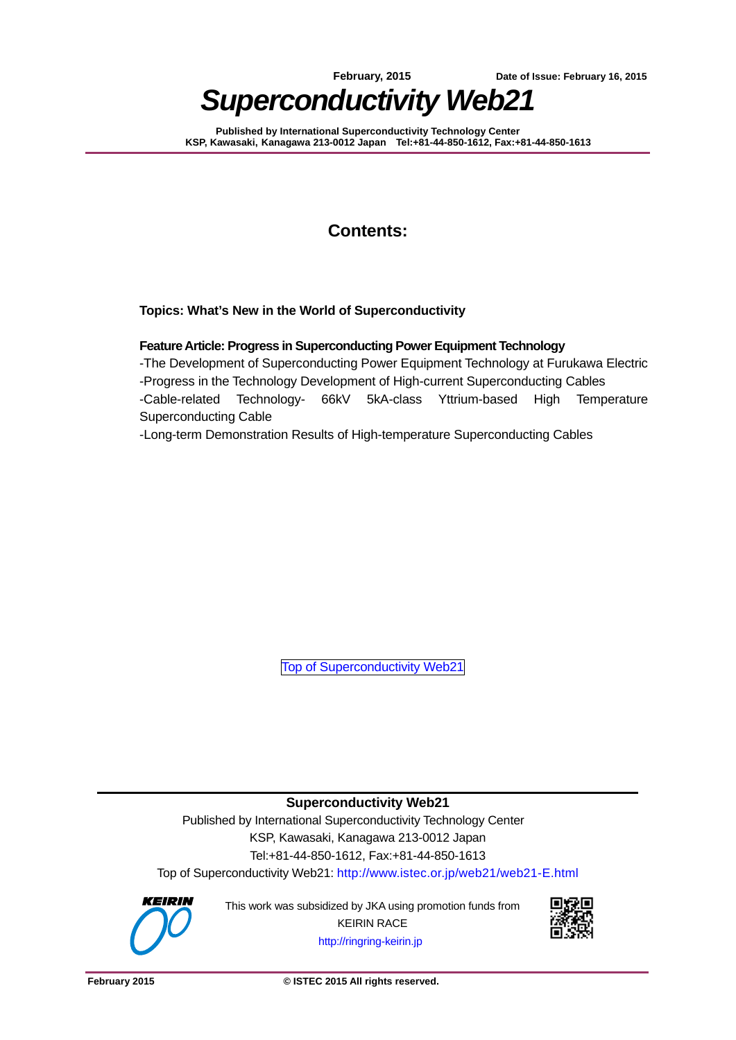

**Published by International Superconductivity Technology Center KSP, Kawasaki, Kanagawa 213-0012 Japan Tel:+81-44-850-1612, Fax:+81-44-850-1613** 

### **Contents:**

#### **Topics: What's New in the World of Superconductivity**

#### **Feature Article: Progress in Superconducting Power Equipment Technology**

-The Development of Superconducting Power Equipment Technology at Furukawa Electric

-Progress in the Technology Development of High-current Superconducting Cables

-Cable-related Technology- 66kV 5kA-class Yttrium-based High Temperature Superconducting Cable

-Long-term Demonstration Results of High-temperature Superconducting Cables

[Top of Superconductivity Web21](http://www.istec.or.jp/web21/web21-E.html) 

**Superconductivity Web21** 

 Published by International Superconductivity Technology Center KSP, Kawasaki, Kanagawa 213-0012 Japan Tel:+81-44-850-1612, Fax:+81-44-850-1613

Top of Superconductivity Web21: <http://www.istec.or.jp/web21/web21-E.html>



This work was subsidized by JKA using promotion funds from KEIRIN RACE <http://ringring-keirin.jp>

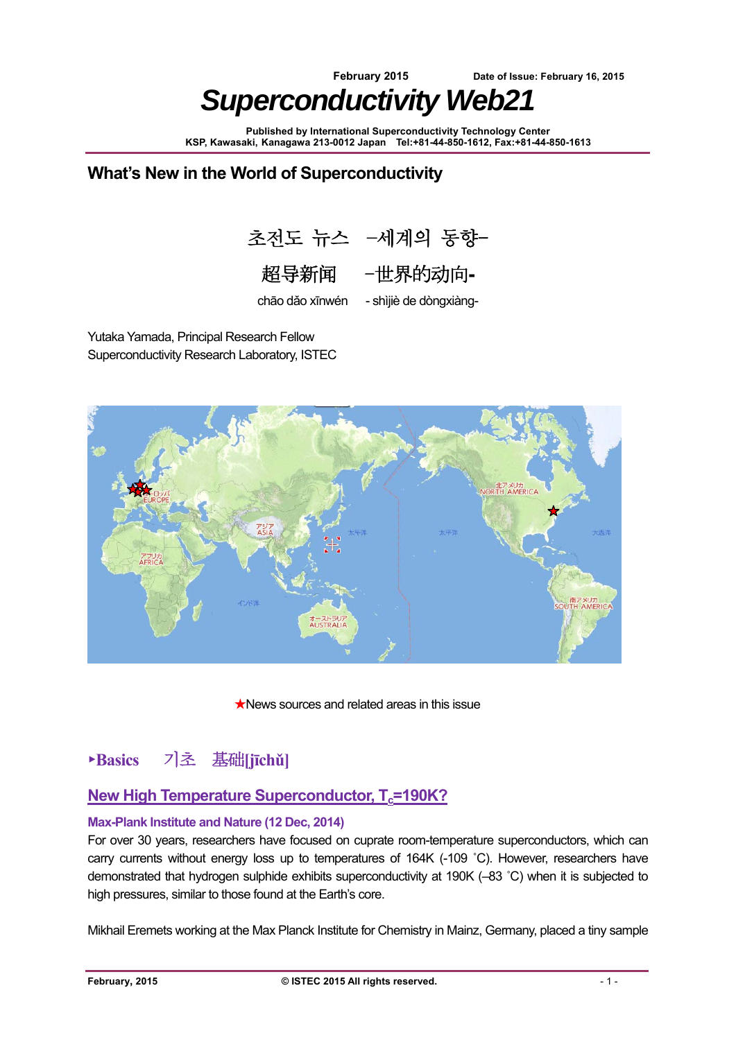**Published by International Superconductivity Technology Center KSP, Kawasaki, Kanagawa 213-0012 Japan Tel:+81-44-850-1612, Fax:+81-44-850-1613** 

### **What's New in the World of Superconductivity**



# 超导新闻 -世界的动向**-**

chāo dǎo xīnwén - shìjiè de dòngxiàng-

Yutaka Yamada, Principal Research Fellow Superconductivity Research Laboratory, ISTEC



★News sources and related areas in this issue

### ►**Basics** 기초 基础**[jīchǔ]**

### **New High Temperature Superconductor, T<sub>c</sub>=190K?**

### **Max-Plank Institute and Nature (12 Dec, 2014)**

For over 30 years, researchers have focused on cuprate room-temperature superconductors, which can carry currents without energy loss up to temperatures of 164K (-109 ˚C). However, researchers have demonstrated that hydrogen sulphide exhibits superconductivity at 190K (–83 ˚C) when it is subjected to high pressures, similar to those found at the Earth's core.

Mikhail Eremets working at the Max Planck Institute for Chemistry in Mainz, Germany, placed a tiny sample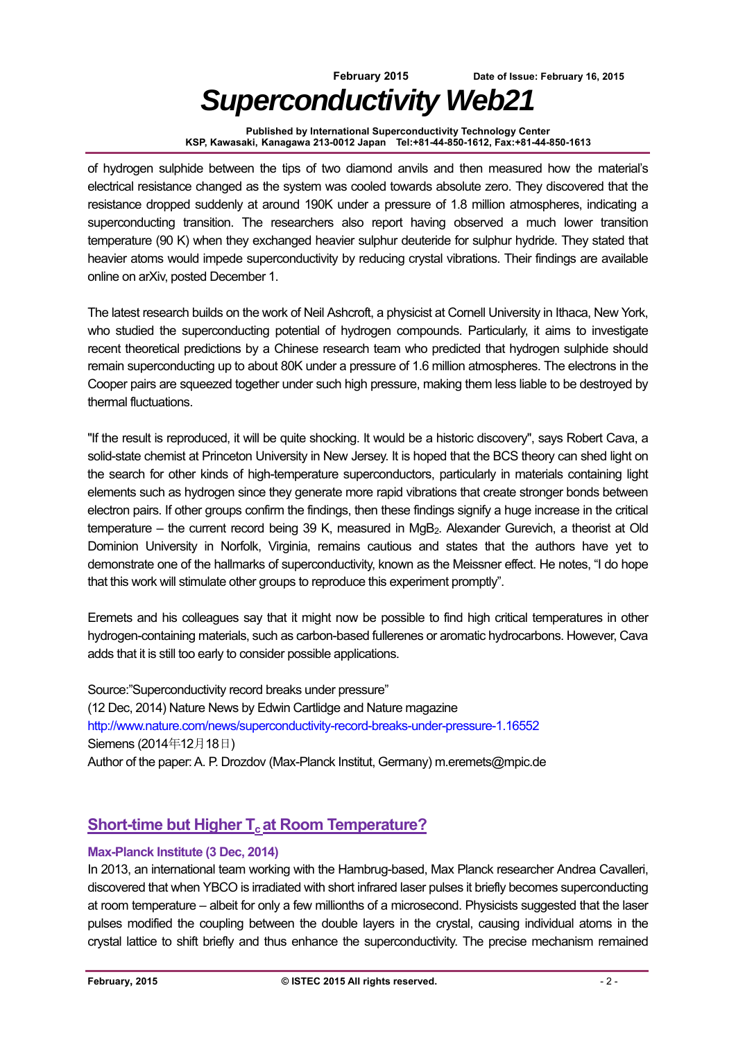**Published by International Superconductivity Technology Center KSP, Kawasaki, Kanagawa 213-0012 Japan Tel:+81-44-850-1612, Fax:+81-44-850-1613** 

of hydrogen sulphide between the tips of two diamond anvils and then measured how the material's electrical resistance changed as the system was cooled towards absolute zero. They discovered that the resistance dropped suddenly at around 190K under a pressure of 1.8 million atmospheres, indicating a superconducting transition. The researchers also report having observed a much lower transition temperature (90 K) when they exchanged heavier sulphur deuteride for sulphur hydride. They stated that heavier atoms would impede superconductivity by reducing crystal vibrations. Their findings are available online on arXiv, posted December 1.

The latest research builds on the work of Neil Ashcroft, a physicist at Cornell University in Ithaca, New York, who studied the superconducting potential of hydrogen compounds. Particularly, it aims to investigate recent theoretical predictions by a Chinese research team who predicted that hydrogen sulphide should remain superconducting up to about 80K under a pressure of 1.6 million atmospheres. The electrons in the Cooper pairs are squeezed together under such high pressure, making them less liable to be destroyed by thermal fluctuations.

"If the result is reproduced, it will be quite shocking. It would be a historic discovery", says Robert Cava, a solid-state chemist at Princeton University in New Jersey. It is hoped that the BCS theory can shed light on the search for other kinds of high-temperature superconductors, particularly in materials containing light elements such as hydrogen since they generate more rapid vibrations that create stronger bonds between electron pairs. If other groups confirm the findings, then these findings signify a huge increase in the critical temperature – the current record being 39 K, measured in MgB<sub>2</sub>. Alexander Gurevich, a theorist at Old Dominion University in Norfolk, Virginia, remains cautious and states that the authors have yet to demonstrate one of the hallmarks of superconductivity, known as the Meissner effect. He notes, "I do hope that this work will stimulate other groups to reproduce this experiment promptly".

Eremets and his colleagues say that it might now be possible to find high critical temperatures in other hydrogen-containing materials, such as carbon-based fullerenes or aromatic hydrocarbons. However, Cava adds that it is still too early to consider possible applications.

Source:"Superconductivity record breaks under pressure" (12 Dec, 2014) Nature News by Edwin Cartlidge and Nature magazine <http://www.nature.com/news/superconductivity-record-breaks-under-pressure-1.16552> Siemens (2014年12月18日) Author of the paper: A. P. Drozdov (Max-Planck Institut, Germany) m.eremets@mpic.de

### **Short-time but Higher T<sub>c</sub> at Room Temperature?**

#### **Max-Planck Institute (3 Dec, 2014)**

In 2013, an international team working with the Hambrug-based, Max Planck researcher Andrea Cavalleri, discovered that when YBCO is irradiated with short infrared laser pulses it briefly becomes superconducting at room temperature – albeit for only a few millionths of a microsecond. Physicists suggested that the laser pulses modified the coupling between the double layers in the crystal, causing individual atoms in the crystal lattice to shift briefly and thus enhance the superconductivity. The precise mechanism remained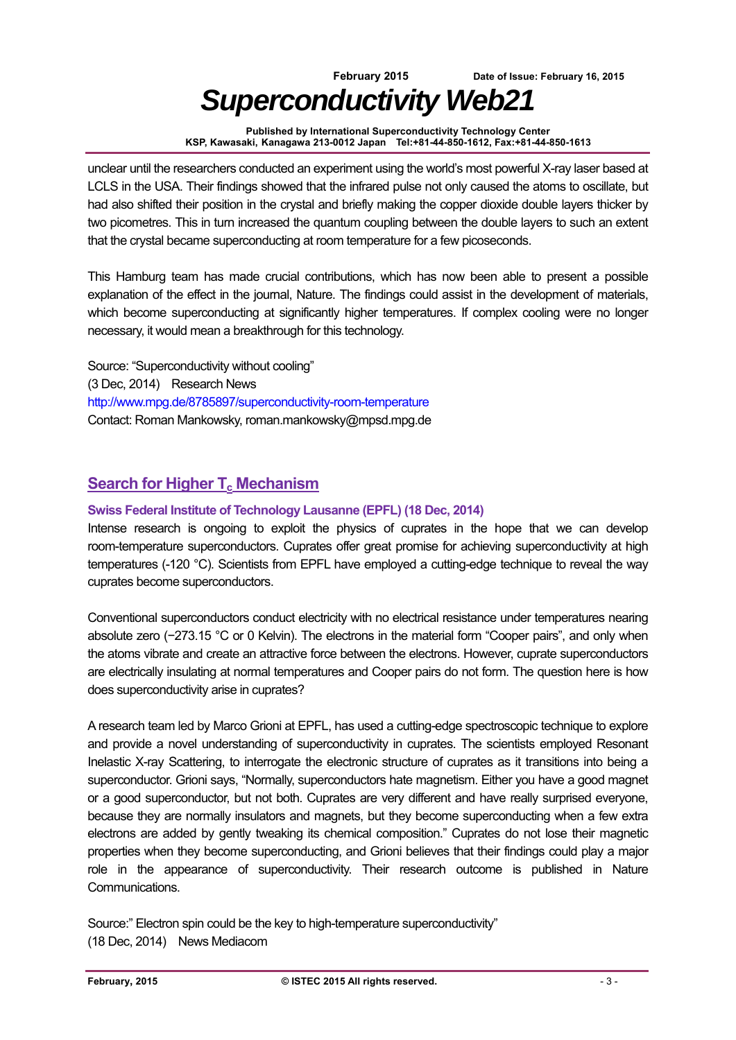

**Published by International Superconductivity Technology Center KSP, Kawasaki, Kanagawa 213-0012 Japan Tel:+81-44-850-1612, Fax:+81-44-850-1613** 

unclear until the researchers conducted an experiment using the world's most powerful X-ray laser based at LCLS in the USA. Their findings showed that the infrared pulse not only caused the atoms to oscillate, but had also shifted their position in the crystal and briefly making the copper dioxide double layers thicker by two picometres. This in turn increased the quantum coupling between the double layers to such an extent that the crystal became superconducting at room temperature for a few picoseconds.

This Hamburg team has made crucial contributions, which has now been able to present a possible explanation of the effect in the journal, Nature. The findings could assist in the development of materials, which become superconducting at significantly higher temperatures. If complex cooling were no longer necessary, it would mean a breakthrough for this technology.

Source: "Superconductivity without cooling" (3 Dec, 2014) Research News <http://www.mpg.de/8785897/superconductivity-room-temperature> Contact: Roman Mankowsky, roman.mankowsky@mpsd.mpg.de

### **Search for Higher T<sub>c</sub> Mechanism**

#### **Swiss Federal Institute of Technology Lausanne (EPFL) (18 Dec, 2014)**

Intense research is ongoing to exploit the physics of cuprates in the hope that we can develop room-temperature superconductors. Cuprates offer great promise for achieving superconductivity at high temperatures (-120 °C). Scientists from EPFL have employed a cutting-edge technique to reveal the way cuprates become superconductors.

Conventional superconductors conduct electricity with no electrical resistance under temperatures nearing absolute zero (−273.15 °C or 0 Kelvin). The electrons in the material form "Cooper pairs", and only when the atoms vibrate and create an attractive force between the electrons. However, cuprate superconductors are electrically insulating at normal temperatures and Cooper pairs do not form. The question here is how does superconductivity arise in cuprates?

A research team led by Marco Grioni at EPFL, has used a cutting-edge spectroscopic technique to explore and provide a novel understanding of superconductivity in cuprates. The scientists employed Resonant Inelastic X-ray Scattering, to interrogate the electronic structure of cuprates as it transitions into being a superconductor. Grioni says, "Normally, superconductors hate magnetism. Either you have a good magnet or a good superconductor, but not both. Cuprates are very different and have really surprised everyone, because they are normally insulators and magnets, but they become superconducting when a few extra electrons are added by gently tweaking its chemical composition." Cuprates do not lose their magnetic properties when they become superconducting, and Grioni believes that their findings could play a major role in the appearance of superconductivity. Their research outcome is published in Nature Communications.

Source:" Electron spin could be the key to high-temperature superconductivity" (18 Dec, 2014) News Mediacom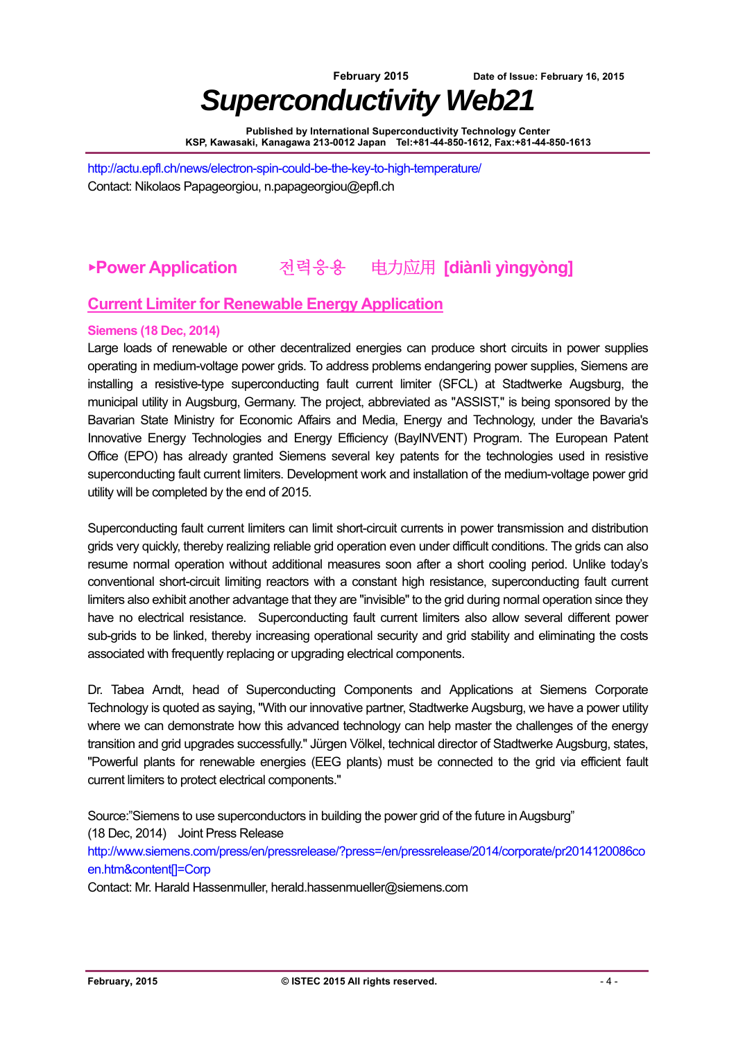**Published by International Superconductivity Technology Center KSP, Kawasaki, Kanagawa 213-0012 Japan Tel:+81-44-850-1612, Fax:+81-44-850-1613** 

<http://actu.epfl.ch/news/electron-spin-could-be-the-key-to-high-temperature/> Contact: Nikolaos Papageorgiou, n.papageorgiou@epfl.ch

### ►**Power Application** 전력응용电力应用 **[diànlì yìngyòng]**

### **Current Limiter for Renewable Energy Application**

#### **Siemens (18 Dec, 2014)**

Large loads of renewable or other decentralized energies can produce short circuits in power supplies operating in medium-voltage power grids. To address problems endangering power supplies, Siemens are installing a resistive-type superconducting fault current limiter (SFCL) at Stadtwerke Augsburg, the municipal utility in Augsburg, Germany. The project, abbreviated as "ASSIST," is being sponsored by the Bavarian State Ministry for Economic Affairs and Media, Energy and Technology, under the Bavaria's Innovative Energy Technologies and Energy Efficiency (BayINVENT) Program. The European Patent Office (EPO) has already granted Siemens several key patents for the technologies used in resistive superconducting fault current limiters. Development work and installation of the medium-voltage power grid utility will be completed by the end of 2015.

Superconducting fault current limiters can limit short-circuit currents in power transmission and distribution grids very quickly, thereby realizing reliable grid operation even under difficult conditions. The grids can also resume normal operation without additional measures soon after a short cooling period. Unlike today's conventional short-circuit limiting reactors with a constant high resistance, superconducting fault current limiters also exhibit another advantage that they are "invisible" to the grid during normal operation since they have no electrical resistance. Superconducting fault current limiters also allow several different power sub-grids to be linked, thereby increasing operational security and grid stability and eliminating the costs associated with frequently replacing or upgrading electrical components.

Dr. Tabea Arndt, head of Superconducting Components and Applications at Siemens Corporate Technology is quoted as saying, "With our innovative partner, Stadtwerke Augsburg, we have a power utility where we can demonstrate how this advanced technology can help master the challenges of the energy transition and grid upgrades successfully." Jürgen Völkel, technical director of Stadtwerke Augsburg, states, "Powerful plants for renewable energies (EEG plants) must be connected to the grid via efficient fault current limiters to protect electrical components."

Source:"Siemens to use superconductors in building the power grid of the future in Augsburg" (18 Dec, 2014) Joint Press Release

[http://www.siemens.com/press/en/pressrelease/?press=/en/pressrelease/2014/corporate/pr2014120086co](http://www.siemens.com/press/en/pressrelease/?press=/en/pressrelease/2014/corporate/pr2014120086coen.htm&content[]=Corp) en.htm&content[]=Corp

Contact: Mr. Harald Hassenmuller, herald.hassenmueller@siemens.com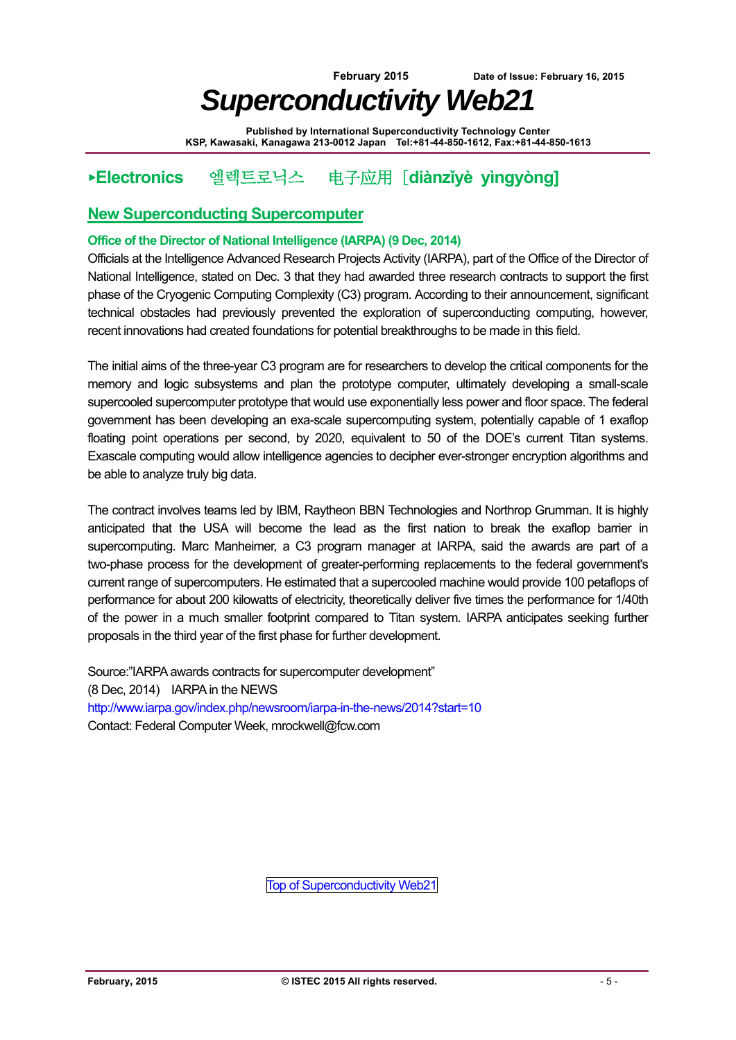**Published by International Superconductivity Technology Center KSP, Kawasaki, Kanagawa 213-0012 Japan Tel:+81-44-850-1612, Fax:+81-44-850-1613** 

### ►**Electronics** 엘렉트로닉스 电子应用 [**diànzǐyè yìngyòng]**

### **New Superconducting Supercomputer**

#### **Office of the Director of National Intelligence (IARPA) (9 Dec, 2014)**

Officials at the Intelligence Advanced Research Projects Activity (IARPA), part of the Office of the Director of National Intelligence, stated on Dec. 3 that they had awarded three research contracts to support the first phase of the Cryogenic Computing Complexity (C3) program. According to their announcement, significant technical obstacles had previously prevented the exploration of superconducting computing, however, recent innovations had created foundations for potential breakthroughs to be made in this field.

The initial aims of the three-year C3 program are for researchers to develop the critical components for the memory and logic subsystems and plan the prototype computer, ultimately developing a small-scale supercooled supercomputer prototype that would use exponentially less power and floor space. The federal government has been developing an exa-scale supercomputing system, potentially capable of 1 exaflop floating point operations per second, by 2020, equivalent to 50 of the DOE's current Titan systems. Exascale computing would allow intelligence agencies to decipher ever-stronger encryption algorithms and be able to analyze truly big data.

The contract involves teams led by IBM, Raytheon BBN Technologies and Northrop Grumman. It is highly anticipated that the USA will become the lead as the first nation to break the exaflop barrier in supercomputing. Marc Manheimer, a C3 program manager at IARPA, said the awards are part of a two-phase process for the development of greater-performing replacements to the federal government's current range of supercomputers. He estimated that a supercooled machine would provide 100 petaflops of performance for about 200 kilowatts of electricity, theoretically deliver five times the performance for 1/40th of the power in a much smaller footprint compared to Titan system. IARPA anticipates seeking further proposals in the third year of the first phase for further development.

Source:"IARPA awards contracts for supercomputer development" (8 Dec, 2014) IARPA in the NEWS <http://www.iarpa.gov/index.php/newsroom/iarpa-in-the-news/2014?start=10> Contact: Federal Computer Week, mrockwell@fcw.com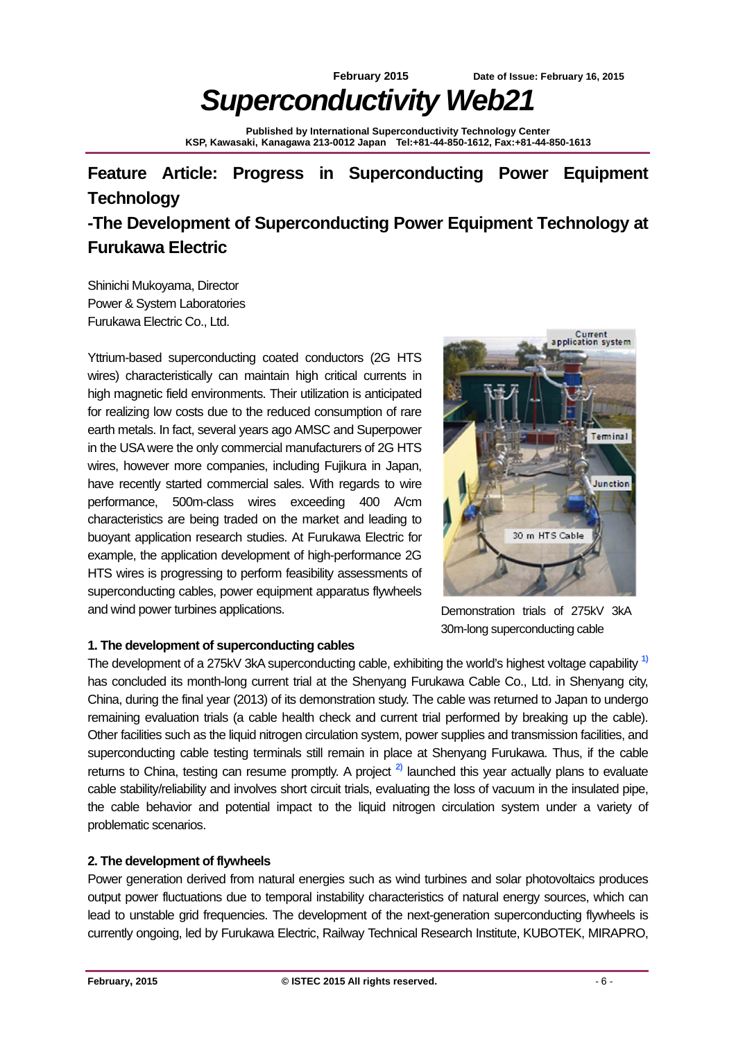**Published by International Superconductivity Technology Center KSP, Kawasaki, Kanagawa 213-0012 Japan Tel:+81-44-850-1612, Fax:+81-44-850-1613** 

### **Feature Article: Progress in Superconducting Power Equipment Technology -The Development of Superconducting Power Equipment Technology at Furukawa Electric**

Shinichi Mukoyama, Director Power & System Laboratories Furukawa Electric Co., Ltd.

Yttrium-based superconducting coated conductors (2G HTS wires) characteristically can maintain high critical currents in high magnetic field environments. Their utilization is anticipated for realizing low costs due to the reduced consumption of rare earth metals. In fact, several years ago AMSC and Superpower in the USA were the only commercial manufacturers of 2G HTS wires, however more companies, including Fujikura in Japan, have recently started commercial sales. With regards to wire performance, 500m-class wires exceeding 400 A/cm characteristics are being traded on the market and leading to buoyant application research studies. At Furukawa Electric for example, the application development of high-performance 2G HTS wires is progressing to perform feasibility assessments of superconducting cables, power equipment apparatus flywheels and wind power turbines applications.



Demonstration trials of 275kV 3kA 30m-long superconducting cable

#### **1. The development of superconducting cables**

The development of a 275kV 3kA superconducting cable, exhibiting the world's highest voltage capability **1)** has concluded its month-long current trial at the Shenyang Furukawa Cable Co., Ltd. in Shenyang city, China, during the final year (2013) of its demonstration study. The cable was returned to Japan to undergo remaining evaluation trials (a cable health check and current trial performed by breaking up the cable). Other facilities such as the liquid nitrogen circulation system, power supplies and transmission facilities, and superconducting cable testing terminals still remain in place at Shenyang Furukawa. Thus, if the cable returns to China, testing can resume promptly. A project **2)** launched this year actually plans to evaluate cable stability/reliability and involves short circuit trials, evaluating the loss of vacuum in the insulated pipe, the cable behavior and potential impact to the liquid nitrogen circulation system under a variety of problematic scenarios.

#### **2. The development of flywheels**

Power generation derived from natural energies such as wind turbines and solar photovoltaics produces output power fluctuations due to temporal instability characteristics of natural energy sources, which can lead to unstable grid frequencies. The development of the next-generation superconducting flywheels is currently ongoing, led by Furukawa Electric, Railway Technical Research Institute, KUBOTEK, MIRAPRO,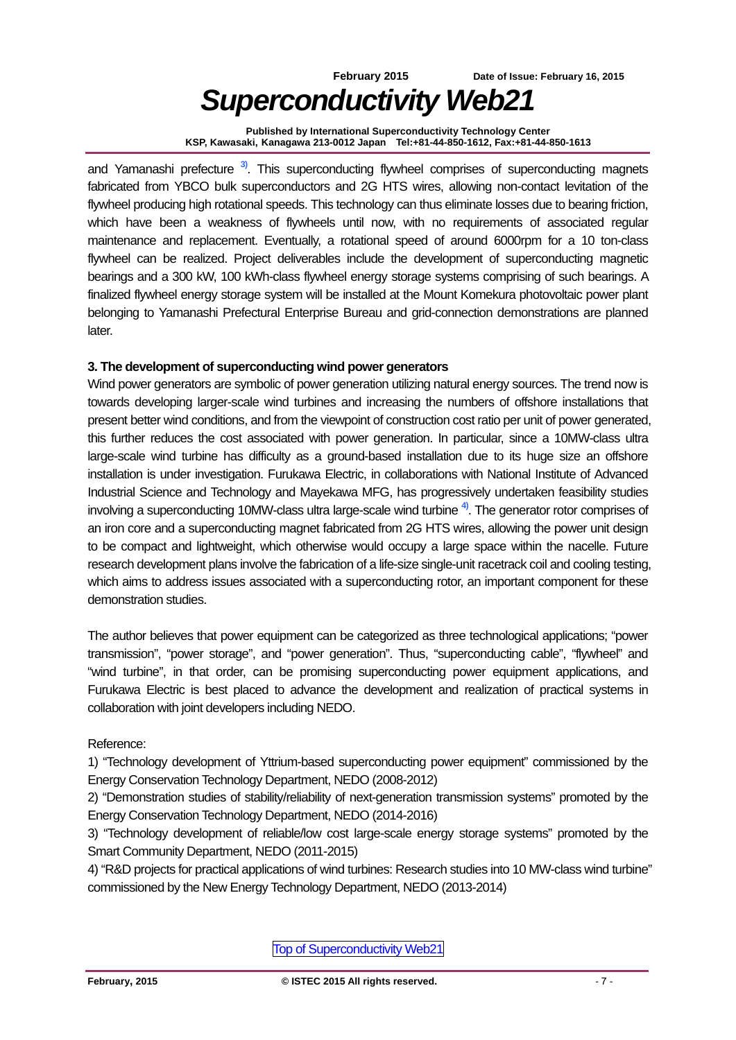**Published by International Superconductivity Technology Center KSP, Kawasaki, Kanagawa 213-0012 Japan Tel:+81-44-850-1612, Fax:+81-44-850-1613** 

and Yamanashi prefecture **3)**. This superconducting flywheel comprises of superconducting magnets fabricated from YBCO bulk superconductors and 2G HTS wires, allowing non-contact levitation of the flywheel producing high rotational speeds. This technology can thus eliminate losses due to bearing friction, which have been a weakness of flywheels until now, with no requirements of associated regular maintenance and replacement. Eventually, a rotational speed of around 6000rpm for a 10 ton-class flywheel can be realized. Project deliverables include the development of superconducting magnetic bearings and a 300 kW, 100 kWh-class flywheel energy storage systems comprising of such bearings. A finalized flywheel energy storage system will be installed at the Mount Komekura photovoltaic power plant belonging to Yamanashi Prefectural Enterprise Bureau and grid-connection demonstrations are planned later.

#### **3. The development of superconducting wind power generators**

Wind power generators are symbolic of power generation utilizing natural energy sources. The trend now is towards developing larger-scale wind turbines and increasing the numbers of offshore installations that present better wind conditions, and from the viewpoint of construction cost ratio per unit of power generated, this further reduces the cost associated with power generation. In particular, since a 10MW-class ultra large-scale wind turbine has difficulty as a ground-based installation due to its huge size an offshore installation is under investigation. Furukawa Electric, in collaborations with National Institute of Advanced Industrial Science and Technology and Mayekawa MFG, has progressively undertaken feasibility studies involving a superconducting 10MW-class ultra large-scale wind turbine **4)**. The generator rotor comprises of an iron core and a superconducting magnet fabricated from 2G HTS wires, allowing the power unit design to be compact and lightweight, which otherwise would occupy a large space within the nacelle. Future research development plans involve the fabrication of a life-size single-unit racetrack coil and cooling testing, which aims to address issues associated with a superconducting rotor, an important component for these demonstration studies.

The author believes that power equipment can be categorized as three technological applications; "power transmission", "power storage", and "power generation". Thus, "superconducting cable", "flywheel" and "wind turbine", in that order, can be promising superconducting power equipment applications, and Furukawa Electric is best placed to advance the development and realization of practical systems in collaboration with joint developers including NEDO.

Reference:

1) "Technology development of Yttrium-based superconducting power equipment" commissioned by the Energy Conservation Technology Department, NEDO (2008-2012)

2) "Demonstration studies of stability/reliability of next-generation transmission systems" promoted by the Energy Conservation Technology Department, NEDO (2014-2016)

3) "Technology development of reliable/low cost large-scale energy storage systems" promoted by the Smart Community Department, NEDO (2011-2015)

4) "R&D projects for practical applications of wind turbines: Research studies into 10 MW-class wind turbine" commissioned by the New Energy Technology Department, NEDO (2013-2014)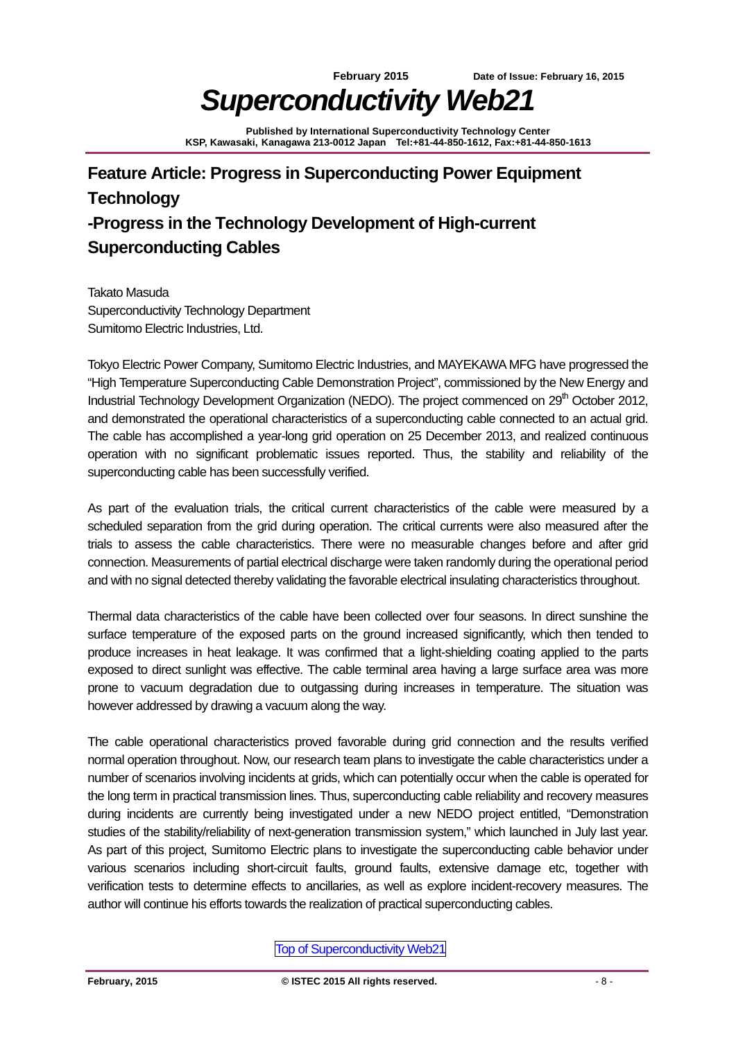**Published by International Superconductivity Technology Center KSP, Kawasaki, Kanagawa 213-0012 Japan Tel:+81-44-850-1612, Fax:+81-44-850-1613** 

### **Feature Article: Progress in Superconducting Power Equipment Technology -Progress in the Technology Development of High-current Superconducting Cables**

Takato Masuda Superconductivity Technology Department Sumitomo Electric Industries, Ltd.

Tokyo Electric Power Company, Sumitomo Electric Industries, and MAYEKAWA MFG have progressed the "High Temperature Superconducting Cable Demonstration Project", commissioned by the New Energy and Industrial Technology Development Organization (NEDO). The project commenced on 29<sup>th</sup> October 2012, and demonstrated the operational characteristics of a superconducting cable connected to an actual grid. The cable has accomplished a year-long grid operation on 25 December 2013, and realized continuous operation with no significant problematic issues reported. Thus, the stability and reliability of the superconducting cable has been successfully verified.

As part of the evaluation trials, the critical current characteristics of the cable were measured by a scheduled separation from the grid during operation. The critical currents were also measured after the trials to assess the cable characteristics. There were no measurable changes before and after grid connection. Measurements of partial electrical discharge were taken randomly during the operational period and with no signal detected thereby validating the favorable electrical insulating characteristics throughout.

Thermal data characteristics of the cable have been collected over four seasons. In direct sunshine the surface temperature of the exposed parts on the ground increased significantly, which then tended to produce increases in heat leakage. It was confirmed that a light-shielding coating applied to the parts exposed to direct sunlight was effective. The cable terminal area having a large surface area was more prone to vacuum degradation due to outgassing during increases in temperature. The situation was however addressed by drawing a vacuum along the way.

The cable operational characteristics proved favorable during grid connection and the results verified normal operation throughout. Now, our research team plans to investigate the cable characteristics under a number of scenarios involving incidents at grids, which can potentially occur when the cable is operated for the long term in practical transmission lines. Thus, superconducting cable reliability and recovery measures during incidents are currently being investigated under a new NEDO project entitled, "Demonstration studies of the stability/reliability of next-generation transmission system," which launched in July last year. As part of this project, Sumitomo Electric plans to investigate the superconducting cable behavior under various scenarios including short-circuit faults, ground faults, extensive damage etc, together with verification tests to determine effects to ancillaries, as well as explore incident-recovery measures. The author will continue his efforts towards the realization of practical superconducting cables.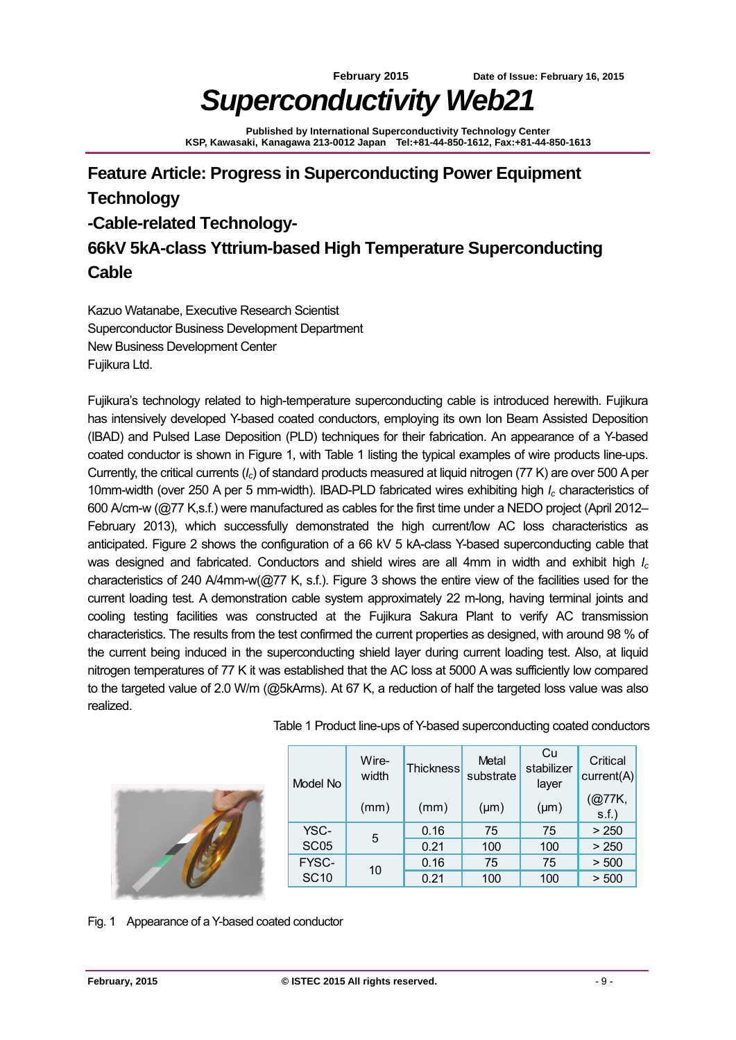**Published by International Superconductivity Technology Center KSP, Kawasaki, Kanagawa 213-0012 Japan Tel:+81-44-850-1612, Fax:+81-44-850-1613** 

## **Feature Article: Progress in Superconducting Power Equipment Technology -Cable-related Technology-66kV 5kA-class Yttrium-based High Temperature Superconducting Cable**

Kazuo Watanabe, Executive Research Scientist Superconductor Business Development Department New Business Development Center Fujikura Ltd.

Fujikura's technology related to high-temperature superconducting cable is introduced herewith. Fujikura has intensively developed Y-based coated conductors, employing its own Ion Beam Assisted Deposition (IBAD) and Pulsed Lase Deposition (PLD) techniques for their fabrication. An appearance of a Y-based coated conductor is shown in Figure 1, with Table 1 listing the typical examples of wire products line-ups. Currently, the critical currents (*Ic*) of standard products measured at liquid nitrogen (77 K) are over 500 A per 10mm-width (over 250 A per 5 mm-width). IBAD-PLD fabricated wires exhibiting high *Ic* characteristics of 600 A/cm-w (@77 K,s.f.) were manufactured as cables for the first time under a NEDO project (April 2012– February 2013), which successfully demonstrated the high current/low AC loss characteristics as anticipated. Figure 2 shows the configuration of a 66 kV 5 kA-class Y-based superconducting cable that was designed and fabricated. Conductors and shield wires are all 4mm in width and exhibit high *Ic* characteristics of 240 A/4mm-w(@77 K, s.f.). Figure 3 shows the entire view of the facilities used for the current loading test. A demonstration cable system approximately 22 m-long, having terminal joints and cooling testing facilities was constructed at the Fujikura Sakura Plant to verify AC transmission characteristics. The results from the test confirmed the current properties as designed, with around 98 % of the current being induced in the superconducting shield layer during current loading test. Also, at liquid nitrogen temperatures of 77 K it was established that the AC loss at 5000 A was sufficiently low compared to the targeted value of 2.0 W/m (@5kArms). At 67 K, a reduction of half the targeted loss value was also realized.



Table 1 Product line-ups of Y-based superconducting coated conductors

| Model No    | Wire-<br>width | Thickness | Metal<br>substrate | Cu<br>stabilizer<br>layer | Critical<br>current(A) |
|-------------|----------------|-----------|--------------------|---------------------------|------------------------|
|             | (mm)           | (mm)      | $(\mu m)$          | $(\mu m)$                 | (Q77K,<br>$s.f.$ )     |
| YSC-        | 5              | 0.16      | 75                 | 75                        | > 250                  |
| <b>SC05</b> |                | 0.21      | 100                | 100                       | > 250                  |
| FYSC-       | 10             | 0.16      | 75                 | 75                        | > 500                  |
| <b>SC10</b> |                | 0.21      | 100                | 100                       | > 500                  |

Fig. 1 Appearance of a Y-based coated conductor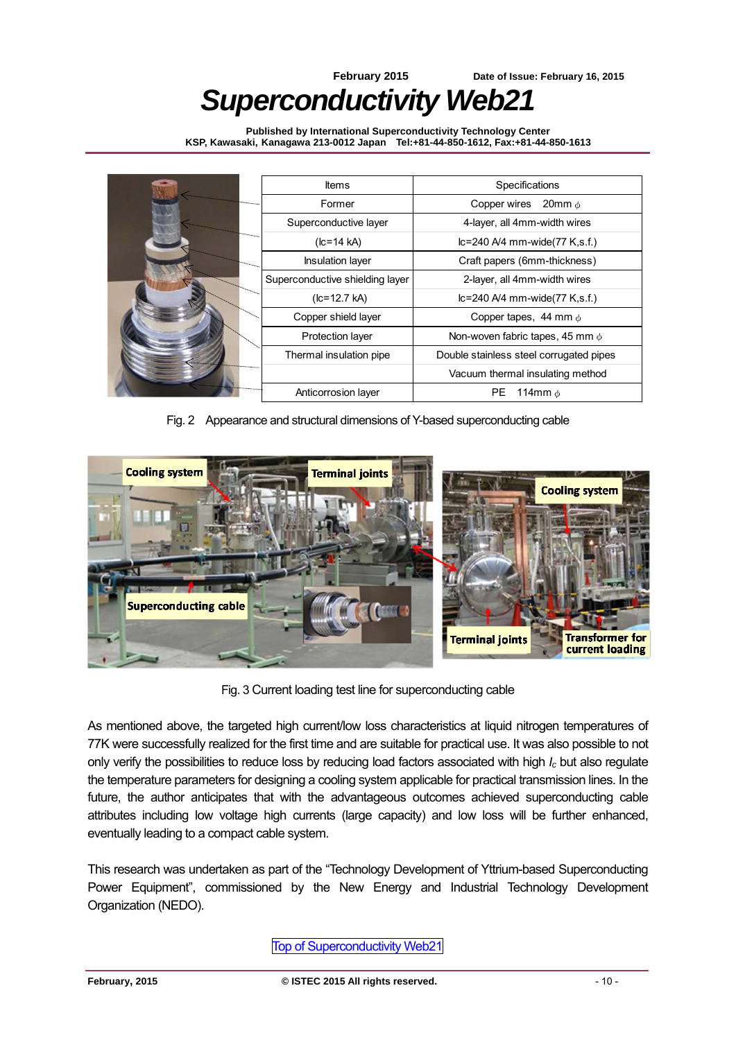**Published by International Superconductivity Technology Center KSP, Kawasaki, Kanagawa 213-0012 Japan Tel:+81-44-850-1612, Fax:+81-44-850-1613** 

| <b>Items</b>                    | Specifications                          |  |
|---------------------------------|-----------------------------------------|--|
| Former                          | Copper wires<br>20mm $\phi$             |  |
| Superconductive layer           | 4-layer, all 4mm-width wires            |  |
| $(lc=14 kA)$                    | $lc = 240$ A/4 mm-wide(77 K,s.f.)       |  |
| <b>Insulation layer</b>         | Craft papers (6mm-thickness)            |  |
| Superconductive shielding layer | 2-layer, all 4mm-width wires            |  |
| $(lc=12.7 kA)$                  | $lc = 240$ A/4 mm-wide(77 K,s.f.)       |  |
| Copper shield layer             | Copper tapes, 44 mm $\phi$              |  |
| Protection layer                | Non-woven fabric tapes, 45 mm $\phi$    |  |
| Thermal insulation pipe         | Double stainless steel corrugated pipes |  |
|                                 | Vacuum thermal insulating method        |  |
| Anticorrosion layer             | РE<br>114mm $\phi$                      |  |

Fig. 2 Appearance and structural dimensions of Y-based superconducting cable



Fig. 3 Current loading test line for superconducting cable

As mentioned above, the targeted high current/low loss characteristics at liquid nitrogen temperatures of 77K were successfully realized for the first time and are suitable for practical use. It was also possible to not only verify the possibilities to reduce loss by reducing load factors associated with high *Ic* but also regulate the temperature parameters for designing a cooling system applicable for practical transmission lines. In the future, the author anticipates that with the advantageous outcomes achieved superconducting cable attributes including low voltage high currents (large capacity) and low loss will be further enhanced, eventually leading to a compact cable system.

This research was undertaken as part of the "Technology Development of Yttrium-based Superconducting Power Equipment", commissioned by the New Energy and Industrial Technology Development Organization (NEDO).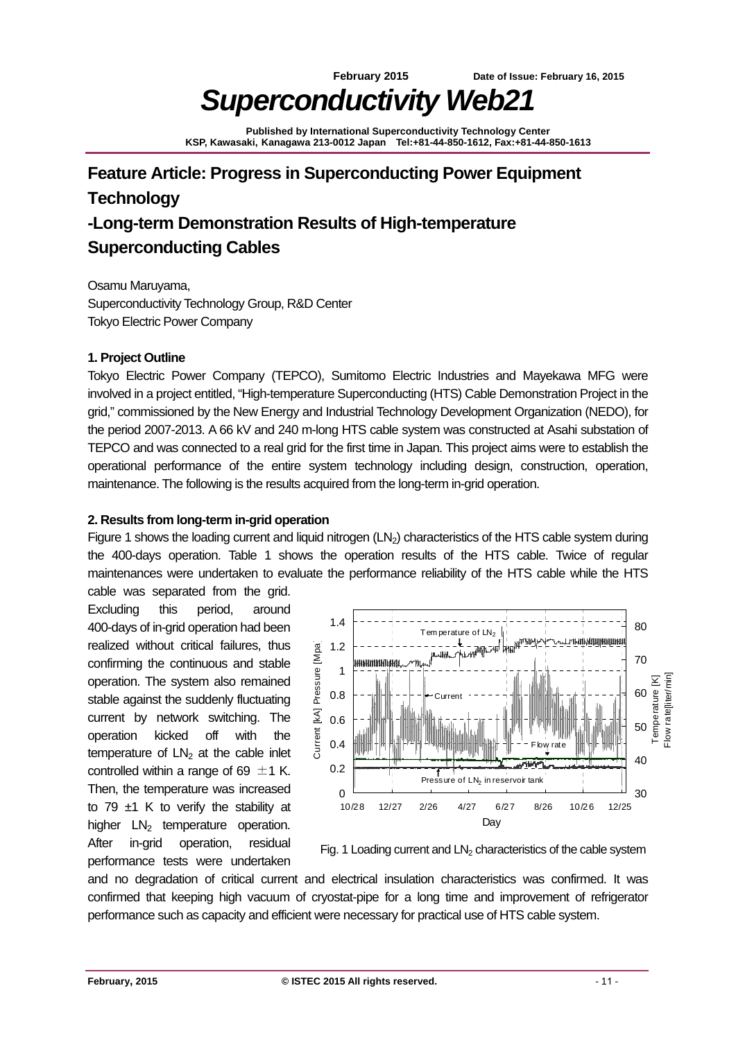**Published by International Superconductivity Technology Center KSP, Kawasaki, Kanagawa 213-0012 Japan Tel:+81-44-850-1612, Fax:+81-44-850-1613** 

### **Feature Article: Progress in Superconducting Power Equipment Technology -Long-term Demonstration Results of High-temperature Superconducting Cables**

Osamu Maruyama, Superconductivity Technology Group, R&D Center Tokyo Electric Power Company

#### **1. Project Outline**

Tokyo Electric Power Company (TEPCO), Sumitomo Electric Industries and Mayekawa MFG were involved in a project entitled, "High-temperature Superconducting (HTS) Cable Demonstration Project in the grid," commissioned by the New Energy and Industrial Technology Development Organization (NEDO), for the period 2007-2013. A 66 kV and 240 m-long HTS cable system was constructed at Asahi substation of TEPCO and was connected to a real grid for the first time in Japan. This project aims were to establish the operational performance of the entire system technology including design, construction, operation, maintenance. The following is the results acquired from the long-term in-grid operation.

#### **2. Results from long-term in-grid operation**

Figure 1 shows the loading current and liquid nitrogen (LN<sub>2</sub>) characteristics of the HTS cable system during the 400-days operation. Table 1 shows the operation results of the HTS cable. Twice of regular maintenances were undertaken to evaluate the performance reliability of the HTS cable while the HTS cable was separated from the grid.

Excluding this period, around 400-days of in-grid operation had been realized without critical failures, thus confirming the continuous and stable operation. The system also remained stable against the suddenly fluctuating current by network switching. The operation kicked off with the temperature of  $LN<sub>2</sub>$  at the cable inlet controlled within a range of 69  $\pm$ 1 K. Then, the temperature was increased to 79 ±1 K to verify the stability at higher  $LN<sub>2</sub>$  temperature operation. After in-grid operation, residual performance tests were undertaken



Fig. 1 Loading current and  $LN<sub>2</sub>$  characteristics of the cable system

and no degradation of critical current and electrical insulation characteristics was confirmed. It was confirmed that keeping high vacuum of cryostat-pipe for a long time and improvement of refrigerator performance such as capacity and efficient were necessary for practical use of HTS cable system.